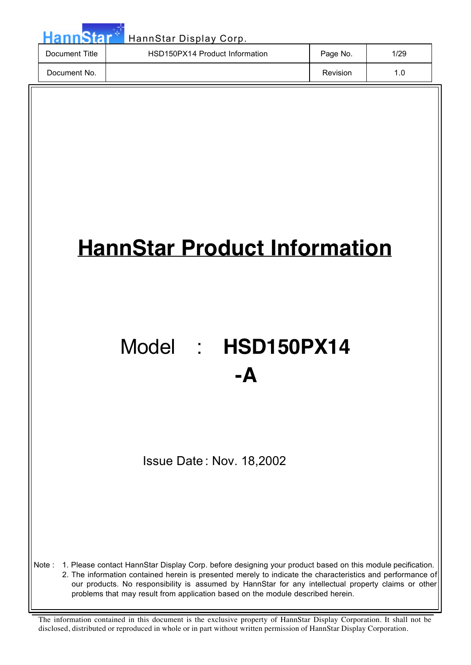| HannStar       | HannStar Display Corp.         |          |      |
|----------------|--------------------------------|----------|------|
| Document Title | HSD150PX14 Product Information | Page No. | 1/29 |
| Document No.   |                                | Revision | 1.0  |

# **HannStar Product Information**

# Model : **HSD150PX14 -A**

Issue Date : Nov. 18,2002

Note : 1. Please contact HannStar Display Corp. before designing your product based on this module pecification.

2. The information contained herein is presented merely to indicate the characteristics and performance of our products. No responsibility is assumed by HannStar for any intellectual property claims or other problems that may result from application based on the module described herein.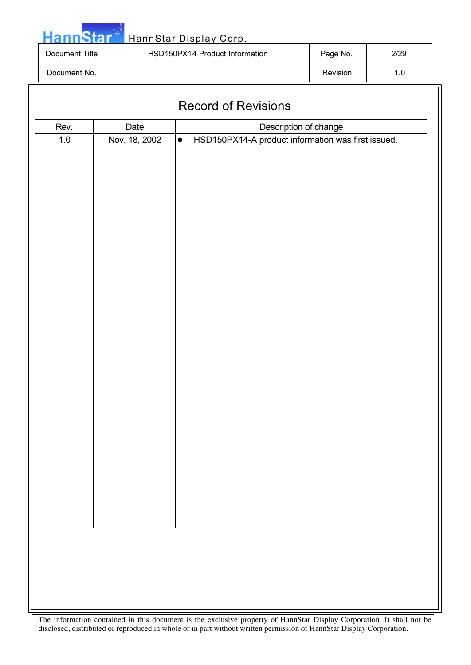Star Ha HannStar Display Corp. Document Title | HSD150PX14 Product Information | Page No. | 2/29 Document No. 2010 1.0

| Date<br>Rev.<br>Description of change<br>Nov. 18, 2002<br>HSD150PX14-A product information was first issued.<br>$1.0\,$<br>$\bullet$ |
|--------------------------------------------------------------------------------------------------------------------------------------|
|                                                                                                                                      |
|                                                                                                                                      |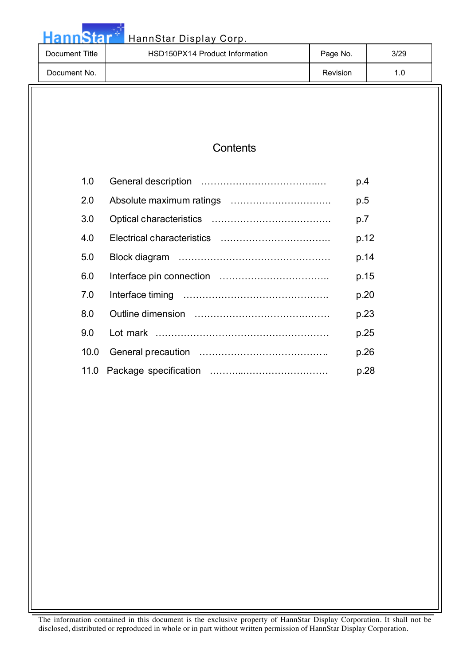|                       | HannStar Display Corp.         |          |      |      |
|-----------------------|--------------------------------|----------|------|------|
| <b>Document Title</b> | HSD150PX14 Product Information | Page No. |      | 3/29 |
| Document No.          |                                | Revision |      | 1.0  |
|                       |                                |          |      |      |
|                       |                                |          |      |      |
|                       |                                |          |      |      |
|                       | Contents                       |          |      |      |
| 1.0                   |                                |          | p.4  |      |
| 2.0                   |                                |          | p.5  |      |
| 3.0                   |                                |          | p.7  |      |
| 4.0                   |                                |          | p.12 |      |
| 5.0                   |                                |          | p.14 |      |
| 6.0                   |                                |          | p.15 |      |
| 7.0                   |                                |          | p.20 |      |
| 8.0                   |                                |          | p.23 |      |
| 9.0                   |                                |          | p.25 |      |
| 10.0                  |                                |          | p.26 |      |
| 11.0                  |                                |          | p.28 |      |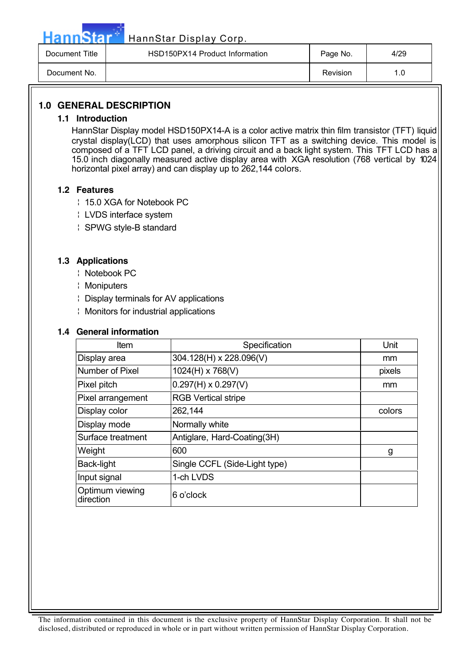Hann Star<sup>t HannStar Display Corp.</sup>

| Document Title | HSD150PX14 Product Information | Page No. | 4/29      |
|----------------|--------------------------------|----------|-----------|
| Document No.   |                                | Revision | $\cdot$ C |

### **1.0 GENERAL DESCRIPTION**

### **1.1 Introduction**

HannStar Display model HSD150PX14-A is a color active matrix thin film transistor (TFT) liquid crystal display(LCD) that uses amorphous silicon TFT as a switching device. This model is composed of a TFT LCD panel, a driving circuit and a back light system. This TFT LCD has a 15.0 inch diagonally measured active display area with XGA resolution (768 vertical by 1024 horizontal pixel array) and can display up to 262,144 colors.

### **1.2 Features**

- ¦ 15.0 XGA for Notebook PC
- ¦ LVDS interface system
- ¦ SPWG style-B standard

### **1.3 Applications**

- ¦ Notebook PC
- ¦ Moniputers
- ¦ Display terminals for AV applications
- ¦ Monitors for industrial applications

### **1.4 General information**

| Item                         | Specification                 | Unit   |
|------------------------------|-------------------------------|--------|
| Display area                 | 304.128(H) x 228.096(V)       | mm     |
| Number of Pixel              | 1024(H) x 768(V)              | pixels |
| Pixel pitch                  | $0.297(H) \times 0.297(V)$    | mm     |
| Pixel arrangement            | <b>RGB Vertical stripe</b>    |        |
| Display color                | 262,144                       | colors |
| Display mode                 | Normally white                |        |
| Surface treatment            | Antiglare, Hard-Coating(3H)   |        |
| Weight                       | 600                           | g      |
| Back-light                   | Single CCFL (Side-Light type) |        |
| Input signal                 | 1-ch LVDS                     |        |
| Optimum viewing<br>direction | 6 o'clock                     |        |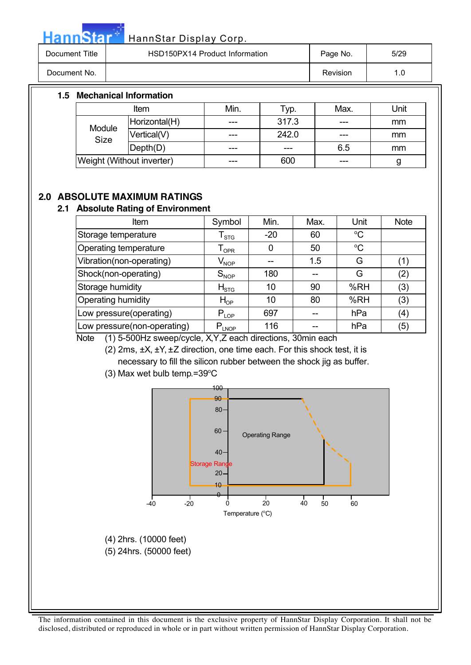HannStar<sup>t HannStar Display Corp.</sup>

| Document Title | HSD150PX14 Product Information | Page No. | 5/29 |
|----------------|--------------------------------|----------|------|
| Document No.   |                                | Revision |      |

### **1.5 Mechanical Information**

| ltem                      |               | Min. | Typ.  | Max. | Unit |
|---------------------------|---------------|------|-------|------|------|
| Module<br>Size            | Horizontal(H) | ---  | 317.3 | ---  | mm   |
|                           | Vertical(V)   | ---  | 242.0 | ---  | mm   |
|                           | Depth(D)      | ---  | ---   | 6.5  | mm   |
| Weight (Without inverter) |               | ---  | 600   | ---  | g    |

### **2.0 ABSOLUTE MAXIMUM RATINGS**

### **2.1 Absolute Rating of Environment**

| Item                        | Symbol                         | Min.  | Max. | Unit        | <b>Note</b> |
|-----------------------------|--------------------------------|-------|------|-------------|-------------|
| Storage temperature         | ${\mathsf T}_{\text{STG}}$     | $-20$ | 60   | $\rm ^{o}C$ |             |
| Operating temperature       | $\mathsf{T}_{\mathsf{OPR}}$    |       | 50   | $\rm ^{o}C$ |             |
| Vibration(non-operating)    | $\mathsf{V}_{\mathsf{NOP}}$    |       | 1.5  | G           | (1)         |
| Shock(non-operating)        | $S_{NOP}$                      | 180   |      | G           | (2)         |
| Storage humidity            | $H_{\scriptstyle\mathrm{STG}}$ | 10    | 90   | %RH         | (3)         |
| Operating humidity          | $H_{OP}$                       | 10    | 80   | %RH         | (3)         |
| Low pressure(operating)     | $P_{LOP}$                      | 697   |      | hPa         | (4)         |
| Low pressure(non-operating) | $P_{LNOP}$                     | 116   |      | hPa         | (5)         |

Note (1) 5-500Hz sweep/cycle, X,Y,Z each directions, 30min each

(2) 2ms, ±X, ±Y, ±Z direction, one time each. For this shock test, it is necessary to fill the silicon rubber between the shock jig as buffer.

 $(3)$  Max wet bulb temp.=39 $\mathrm{^{\circ}C}$ 

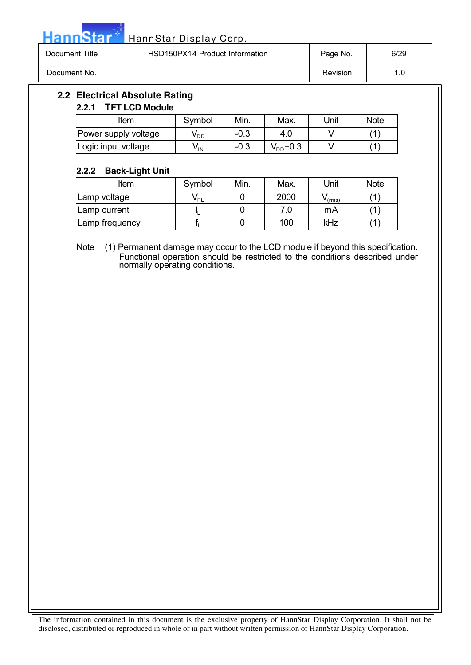Hann Star<sup>t HannStar Display Corp.</sup>

| Document Title | HSD150PX14 Product Information | Page No. | 6/29 |
|----------------|--------------------------------|----------|------|
| Document No.   |                                | Revision | л    |

### **2.2 Electrical Absolute Rating**

### **2.2.1 TFT LCD Module**

| ltem                 | Symbol          | Min.   | Max.          | Unit | <b>Note</b> |
|----------------------|-----------------|--------|---------------|------|-------------|
| Power supply voltage | ∨dd             | $-0.3$ | 4.C           |      |             |
| Logic input voltage  | v <sub>in</sub> | -0.3   | $V_{DD}$ +0.3 |      |             |

### **2.2.2 Back-Light Unit**

| -              |          |      |      |                    |             |
|----------------|----------|------|------|--------------------|-------------|
| Item           | Symbol   | Min. | Max. | Unit               | <b>Note</b> |
| Lamp voltage   | $V_{FL}$ |      | 2000 | $\mathbf{v}$ (rms) |             |
| Lamp current   |          |      |      | mA                 |             |
| Lamp frequency |          |      | 100  | kHz                |             |

Note (1) Permanent damage may occur to the LCD module if beyond this specification. Functional operation should be restricted to the conditions described under normally operating conditions.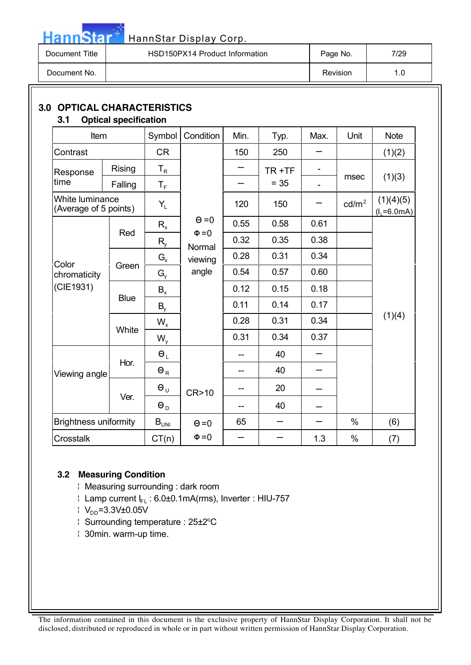| Document Title | HSD150PX14 Product Information | Page No. | 7/29 |
|----------------|--------------------------------|----------|------|
| Document No.   |                                | Revision | л    |

### **3.0 OPTICAL CHARACTERISTICS**

**Hann**Star<sup>®</sup>

|  | <b>Optical specification</b> |  |
|--|------------------------------|--|
|  |                              |  |

| Item                                     |             | Symbol                      | Condition            | Min. | Typ.   | Max. | Unit              | <b>Note</b>                  |  |
|------------------------------------------|-------------|-----------------------------|----------------------|------|--------|------|-------------------|------------------------------|--|
| Contrast                                 |             | <b>CR</b>                   |                      | 150  | 250    |      |                   | (1)(2)                       |  |
| Response                                 | Rising      | $T_R$                       |                      |      | TR+TF  |      |                   |                              |  |
| time                                     | Falling     | $T_F$                       |                      |      | $= 35$ |      | msec              | (1)(3)                       |  |
| White luminance<br>(Average of 5 points) |             | $Y_L$                       |                      | 120  | 150    |      | cd/m <sup>2</sup> | (1)(4)(5)<br>$(l_1 = 6.0mA)$ |  |
|                                          |             | $R_{x}$                     | $\Theta = 0$         | 0.55 | 0.58   | 0.61 |                   |                              |  |
|                                          | Red         | $R_{y}$                     | $\Phi = 0$<br>Normal | 0.32 | 0.35   | 0.38 |                   |                              |  |
| Color                                    |             | $G_{x}$                     | viewing              | 0.28 | 0.31   | 0.34 |                   |                              |  |
| chromaticity                             | Green       | $G_{y}$                     | angle                | 0.54 | 0.57   | 0.60 |                   |                              |  |
| (CIE1931)                                |             | $B_{x}$                     |                      | 0.12 | 0.15   | 0.18 |                   |                              |  |
|                                          | <b>Blue</b> | $B_{v}$                     |                      | 0.11 | 0.14   | 0.17 |                   | (1)(4)                       |  |
|                                          | White       | $W_{x}$                     |                      | 0.28 | 0.31   | 0.34 |                   |                              |  |
|                                          |             | $W_{y}$                     |                      | 0.31 | 0.34   | 0.37 |                   |                              |  |
|                                          |             | $\Theta_L$                  |                      |      | 40     |      |                   |                              |  |
| Viewing angle                            | Hor.        | $\Theta_{\textrm{R}}$       |                      |      | 40     |      |                   |                              |  |
|                                          | Ver.        | $\Theta_{U}$                | CR>10                |      | 20     |      |                   |                              |  |
|                                          |             | $\Theta_{\text{D}}$         |                      |      | 40     |      |                   |                              |  |
| <b>Brightness uniformity</b>             |             | $\mathsf{B}_{\mathsf{UNI}}$ | $\Theta = 0$         | 65   |        |      | $\%$              | (6)                          |  |
| Crosstalk                                |             | CT(n)                       | $\Phi = 0$           |      |        | 1.3  | $\%$              | (7)                          |  |

### **3.2 Measuring Condition**

- ¦ Measuring surrounding : dark room
- $\frac{1}{2}$  Lamp current  $I_{FL}$  : 6.0±0.1mA(rms), Inverter : HIU-757
- $\frac{1}{2}$  V<sub>DD</sub>=3.3V±0.05V
- Surrounding temperature: 25±2°C
- ¦ 30min. warm-up time.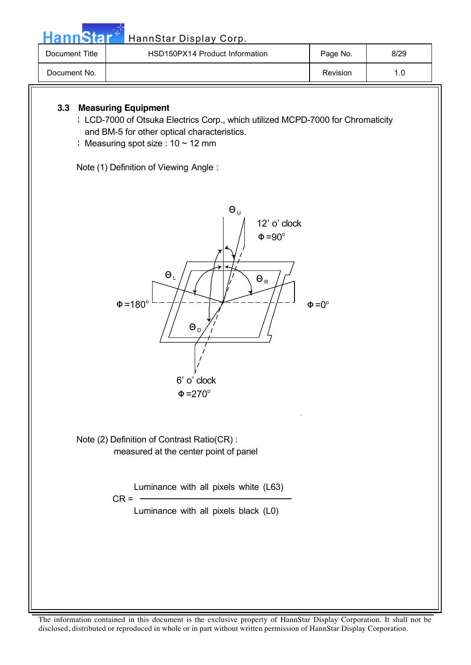Hann Star<sup>t H</sup>annStar Display Corp.

| Document Title | HSD150PX14 Product Information | Page No. | 8/29 |
|----------------|--------------------------------|----------|------|
| Document No.   |                                | Revision | 1.0  |

### **3.3 Measuring Equipment**

- ¦ LCD-7000 of Otsuka Electrics Corp., which utilized MCPD-7000 for Chromaticity and BM-5 for other optical characteristics.
- $\frac{1}{2}$  Measuring spot size : 10 ~ 12 mm

Note (1) Definition of Viewing Angle :



Note (2) Definition of Contrast Ratio(CR) : measured at the center point of panel

> Luminance with all pixels white (L63)  $CR = \frac{1}{2}$

> > Luminance with all pixels black (L0)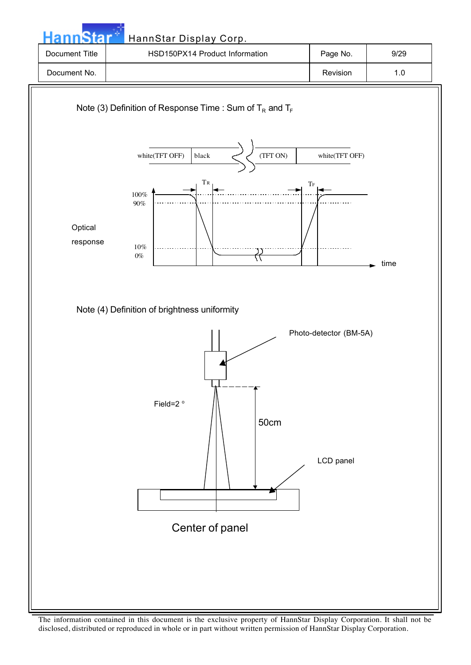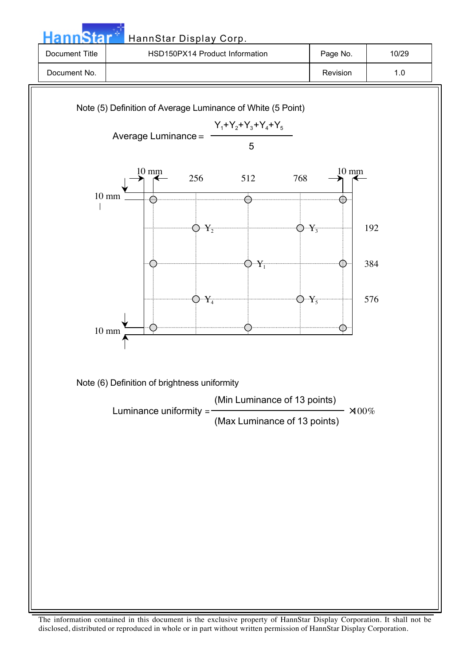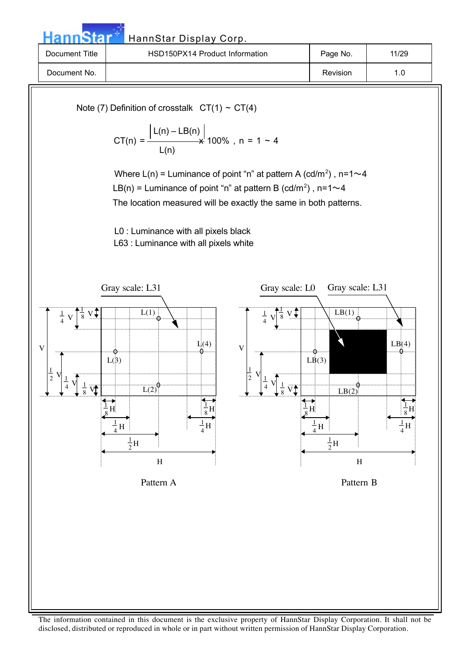HannStar Display Corp. Document Title | RSD150PX14 Product Information | Page No. | 11/29 Document No. | 1.0

Note (7) Definition of crosstalk  $CT(1) \sim CT(4)$  $\lfloor L(n) - LB(n) \rfloor$  $CT(n) =$   $\frac{1}{2}$   $\frac{1}{2}$   $\frac{1}{2}$   $\frac{1}{2}$   $\frac{1}{2}$   $\frac{1}{2}$   $\frac{1}{2}$   $\frac{1}{2}$   $\frac{1}{2}$   $\frac{1}{2}$   $\frac{1}{2}$   $\frac{1}{2}$   $\frac{1}{2}$   $\frac{1}{2}$   $\frac{1}{2}$   $\frac{1}{2}$   $\frac{1}{2}$   $\frac{1}{2}$   $\frac{1}{2}$   $\frac{1}{2}$   $\frac{1}{2}$   $\frac{$  L(n) Where  $L(n)$  = Luminance of point "n" at pattern A (cd/m<sup>2</sup>), n=1 $\sim$ 4 LB(n) = Luminance of point "n" at pattern B (cd/m<sup>2</sup>), n=1 $\sim$ 4 The location measured will be exactly the same in both patterns. L0 : Luminance with all pixels black L63 : Luminance with all pixels white  $\frac{1}{8}$  V  $\frac{1}{8}$ V 1  $\frac{1}{8}$  $\frac{1}{4}$  V 4 V 1  $\frac{1}{4}$ V 1  $\frac{1}{2}$ V 1  $H_3$ 1  $\frac{1}{8}$ H H 1  $\frac{1}{4}H$  $\frac{1}{4}$ H  $L(1)$  $\overline{L(2)}$  $L(3)$  $L<sub>0</sub>(4)$  $\frac{1}{2}$ H  $\frac{1}{8}$  V  $rac{1}{8}$ V 1  $\frac{1}{8}$  $\frac{1}{4}$  V 4 V 1  $\frac{1}{4}$ V 1  $\frac{1}{2}$ V 1 H 1  $\frac{1}{8}$ H H 1  $\frac{1}{4}H$  $\frac{1}{4}$ H  $LB(1)$  $LB(2)$  $L\dot{B}(3)$  $LB(4)$  $\frac{1}{2}$ H Pattern A Pattern B Gray scale: L31 Gray scale: L0 Gray scale: L31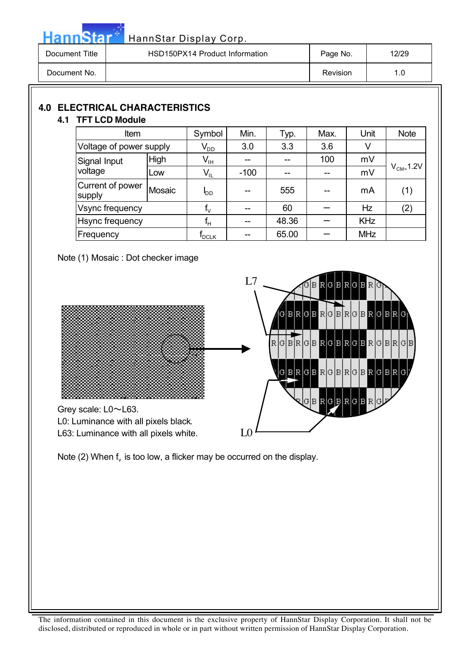| <b>HannStar</b> | HannStar Display Corp.         |          |       |
|-----------------|--------------------------------|----------|-------|
| Document Title  | HSD150PX14 Product Information | Page No. | 12/29 |
| Document No.    |                                | Revision | 1.0   |

### **4.0 ELECTRICAL CHARACTERISTICS**

### **4.1 TFT LCD Module**

| Item<br>Voltage of power supply<br>High<br>Signal Input |        | Symbol                       | Min.   | Typ.  | Max. | Unit       | <b>Note</b>    |
|---------------------------------------------------------|--------|------------------------------|--------|-------|------|------------|----------------|
|                                                         |        | $\mathsf{V}_{\mathsf{DD}}$   | 3.0    | 3.3   | 3.6  | V          |                |
|                                                         |        | $\mathsf{V}_{\mathsf{IH}}$   |        |       | 100  | mV         |                |
| voltage                                                 | Low    | $\mathsf{V}_{\mathsf{IL}}$   | $-100$ |       |      | mV         | $V_{CM}$ -1.2V |
| Current of power<br>supply                              | Mosaic | oo                           | --     | 555   |      | mA         | (1)            |
| Vsync frequency                                         |        | $f_V$                        | --     | 60    |      | <b>Hz</b>  | (2)            |
| <b>Hsync frequency</b>                                  |        | $f_H$                        | --     | 48.36 |      | <b>KHz</b> |                |
| Frequency                                               |        | $\mathsf{f}_{\mathsf{DCLK}}$ | --     | 65.00 |      | <b>MHz</b> |                |

Note (1) Mosaic : Dot checker image



Note (2) When  $f_v$  is too low, a flicker may be occurred on the display.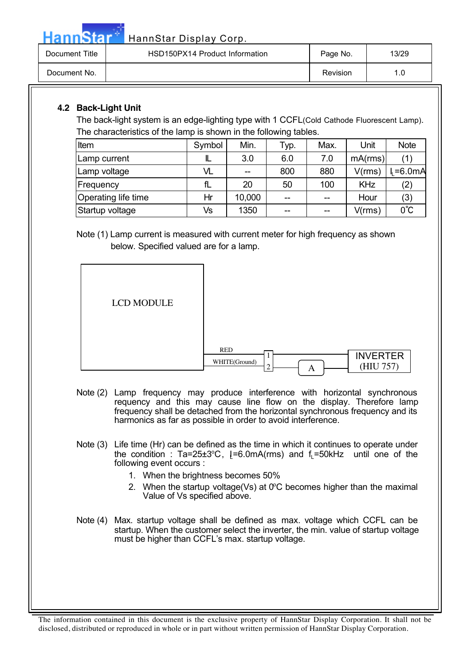HannStar<sup>4</sup> HannStar Display Corp.

| Document Title | HSD150PX14 Product Information | Page No. | 13/29 |
|----------------|--------------------------------|----------|-------|
| Document No.   |                                | Revision | 1.0   |

### **4.2 Back-Light Unit**

The back-light system is an edge-lighting type with 1 CCFL(Cold Cathode Fluorescent Lamp). The characteristics of the lamp is shown in the following tables.

| Item                | Symbol | Min.   | Typ. | Max.  | Unit       | <b>Note</b>   |
|---------------------|--------|--------|------|-------|------------|---------------|
| Lamp current        | L      | 3.0    | 6.0  | 7.0   | mA(rms)    | (1)           |
| Lamp voltage        | VL     | $-$    | 800  | 880   | V(rms)     | $=6.0mA$      |
| <b>IFrequency</b>   | fL     | 20     | 50   | 100   | <b>KHz</b> | (2)           |
| Operating life time | Hr     | 10,000 | --   | --    | Hour       | (3)           |
| Startup voltage     | Vs     | 1350   | --   | $- -$ | V(rms)     | $0^{\circ}$ C |

Note (1) Lamp current is measured with current meter for high frequency as shown below. Specified valued are for a lamp.

| LCD MODULE |                                                                |
|------------|----------------------------------------------------------------|
|            | RED<br><b>INVERTER</b><br>WHITE(Ground)<br>(HIU 757)<br>◠<br>A |

- Note (2) Lamp frequency may produce interference with horizontal synchronous requency and this may cause line flow on the display. Therefore lamp frequency shall be detached from the horizontal synchronous frequency and its harmonics as far as possible in order to avoid interference.
- Note (3) Life time (Hr) can be defined as the time in which it continues to operate under the condition : Ta=25±3°C, [=6.0mA(rms) and  $f_L$ =50kHz until one of the following event occurs :
	- 1. When the brightness becomes 50%
	- 2. When the startup voltage(Vs) at  $0^{\circ}$ C becomes higher than the maximal Value of Vs specified above.
- Note (4) Max. startup voltage shall be defined as max. voltage which CCFL can be startup. When the customer select the inverter, the min. value of startup voltage must be higher than CCFL's max. startup voltage.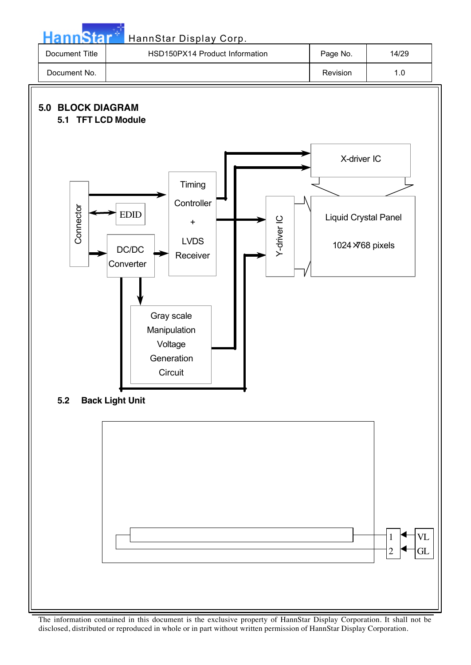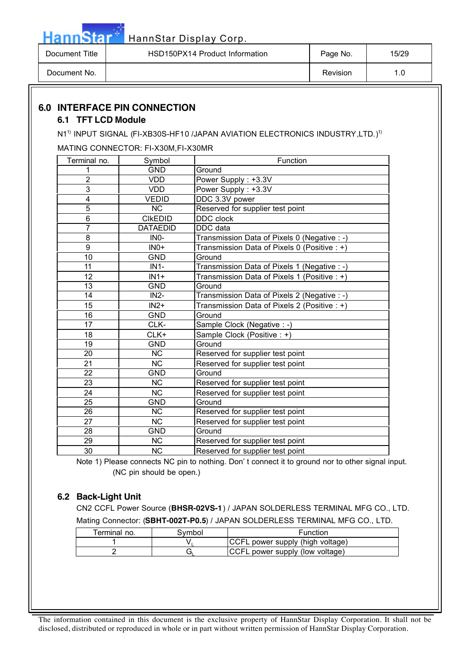| Document Title | HSD150PX14 Product Information | Page No. | 15/29 |
|----------------|--------------------------------|----------|-------|
| Document No.   |                                | Revision |       |

### **6.0 INTERFACE PIN CONNECTION**

#### **6.1 TFT LCD Module**

**Hann**Star<sup>®</sup>

N1 $^{\rm 1)}$  INPUT SIGNAL (FI-XB30S-HF10 /JAPAN AVIATION ELECTRONICS INDUSTRY,LTD.) $^{\rm 1)}$ 

MATING CONNECTOR: FI-X30M,FI-X30MR

| Terminal no.    | Symbol            | Function                                     |
|-----------------|-------------------|----------------------------------------------|
|                 | <b>GND</b>        | Ground                                       |
| $\overline{2}$  | <b>VDD</b>        | Power Supply: +3.3V                          |
| 3               | <b>VDD</b>        | Power Supply: +3.3V                          |
| 4               | <b>VEDID</b>      | DDC 3.3V power                               |
| 5               | <b>NC</b>         | Reserved for supplier test point             |
| 6               | <b>CIKEDID</b>    | DDC clock                                    |
| $\overline{7}$  | <b>DATAEDID</b>   | DDC data                                     |
| 8               | IN <sub>0</sub> - | Transmission Data of Pixels 0 (Negative : -) |
| 9               | $INO+$            | Transmission Data of Pixels 0 (Positive : +) |
| $\overline{10}$ | <b>GND</b>        | Ground                                       |
| 11              | $IN1-$            | Transmission Data of Pixels 1 (Negative : -) |
| 12              | $IN1+$            | Transmission Data of Pixels 1 (Positive : +) |
| 13              | <b>GND</b>        | Ground                                       |
| 14              | $IN2-$            | Transmission Data of Pixels 2 (Negative : -) |
| 15              | $IN2+$            | Transmission Data of Pixels 2 (Positive : +) |
| 16              | <b>GND</b>        | Ground                                       |
| 17              | CLK-              | Sample Clock (Negative : -)                  |
| 18              | CLK+              | Sample Clock (Positive : +)                  |
| 19              | <b>GND</b>        | Ground                                       |
| $\overline{20}$ | NC                | Reserved for supplier test point             |
| 21              | <b>NC</b>         | Reserved for supplier test point             |
| 22              | GND               | Ground                                       |
| 23              | <b>NC</b>         | Reserved for supplier test point             |
| 24              | <b>NC</b>         | Reserved for supplier test point             |
| 25              | <b>GND</b>        | Ground                                       |
| 26              | <b>NC</b>         | Reserved for supplier test point             |
| 27              | <b>NC</b>         | Reserved for supplier test point             |
| 28              | <b>GND</b>        | Ground                                       |
| 29              | <b>NC</b>         | Reserved for supplier test point             |
| 30              | <b>NC</b>         | Reserved for supplier test point             |

Note 1) Please connects NC pin to nothing. Don' t connect it to ground nor to other signal input. (NC pin should be open.)

#### **6.2 Back-Light Unit**

CN2 CCFL Power Source (**BHSR-02VS-1**) / JAPAN SOLDERLESS TERMINAL MFG CO., LTD. Mating Connector: (**SBHT-002T-P0.5**) / JAPAN SOLDERLESS TERMINAL MFG CO., LTD.

| Terminal no. | 3vmbol | Function                                |
|--------------|--------|-----------------------------------------|
|              |        | <b>CCFL</b> power supply (high voltage) |
|              | ∍ت     | <b>CCFL</b> power supply (low voltage)  |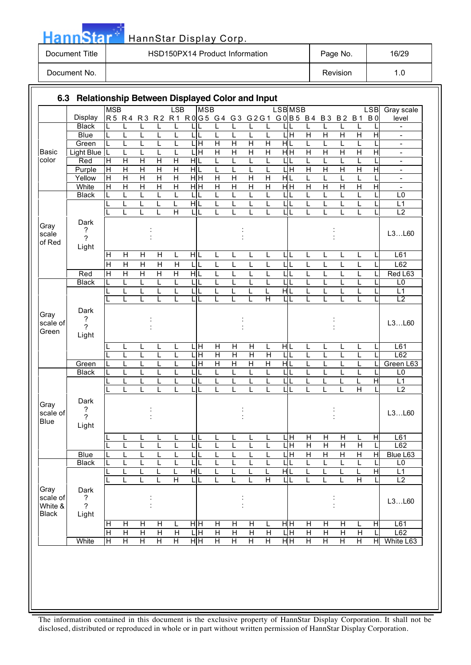|                           | <b>HannStar</b>                                |                |                              |                |                |                         |     |                | HannStar Display Corp.                       |                         |                |                |                |               |                         |                |                |                         |                |                          |
|---------------------------|------------------------------------------------|----------------|------------------------------|----------------|----------------|-------------------------|-----|----------------|----------------------------------------------|-------------------------|----------------|----------------|----------------|---------------|-------------------------|----------------|----------------|-------------------------|----------------|--------------------------|
| <b>Document Title</b>     |                                                |                |                              |                |                |                         |     |                | HSD150PX14 Product Information               |                         |                |                |                |               |                         | Page No.       |                |                         |                | 16/29                    |
|                           | Document No.                                   |                |                              |                |                |                         |     |                |                                              |                         |                |                |                |               |                         |                | Revision       |                         |                | 1.0                      |
| 6.3                       | Relationship Between Displayed Color and Input |                |                              |                |                |                         |     |                |                                              |                         |                |                |                |               |                         |                |                |                         |                |                          |
|                           |                                                | <b>MSB</b>     |                              |                |                | <b>LSB</b>              |     | <b>MSB</b>     |                                              |                         |                |                |                | <b>LSBMSB</b> |                         |                |                |                         | <b>LSB</b>     | Gray scale               |
|                           | Display                                        |                |                              |                |                |                         |     |                | R5 R4 R3 R2 R1 R0G5 G4 G3 G2G1 G0B5 B4 B3 B2 |                         |                |                |                |               |                         |                |                | <b>B</b> 1              | B <sub>0</sub> | level                    |
|                           | <b>Black</b>                                   |                | L                            | L              | L              | L                       |     | LIL            | L                                            | L                       | L              |                | L              |               | L                       | L              | L              | L                       | L              | $\overline{\phantom{m}}$ |
|                           | <b>Blue</b>                                    | L              | L                            | Г              | L              | L                       |     | LIL            | Г                                            | L                       | Г              | L              | ЦH             |               | $\overline{\mathsf{H}}$ | Η              | н              | $\overline{\mathsf{H}}$ | Ξ              | $\overline{\phantom{a}}$ |
|                           | Green                                          | L              | τ                            | L              | τ              | τ                       |     | LН             | Ή                                            | Ή                       | Ή              | Ή              | HL             |               | τ                       | L              | L              | L                       | τ              | $\overline{a}$           |
| <b>Basic</b>              | Light Blue L                                   |                | L                            | L              | L              | L                       |     | LН             | H                                            | H                       | Η              | Н              | H <sub>H</sub> |               | H                       | H              | Η              | $\overline{\mathsf{H}}$ | Η              | $\overline{\phantom{a}}$ |
| color                     | Red                                            | Η              | Η                            | Η              | Η              | Η                       | HIL |                | L                                            | L                       | L              | L              | ЦL             |               | L                       | L              | L              | L                       | L              | $\overline{\phantom{a}}$ |
|                           | Purple                                         | Ή              | $\overline{H}$               | $\overline{H}$ | $\overline{H}$ | $\overline{\mathsf{H}}$ | H L |                | L                                            | L                       | L              | $\mathbf{I}$   | L              | Iн            | $\overline{H}$          | Η              | $\overline{H}$ | $\overline{H}$          | $\overline{H}$ | $\blacksquare$           |
|                           | Yellow                                         | Ή              | $\overline{H}$               | н              | Н              | н                       |     | H <sub>H</sub> | H                                            | H                       | н              | н              | HL             |               | L                       | L              | L              | L                       | L              | $\overline{\phantom{a}}$ |
|                           | White                                          | $\overline{H}$ | $\overline{H}$               | $\overline{H}$ | $\overline{H}$ | $\overline{H}$          |     | HH             | $\overline{H}$                               | $\overline{H}$          | $\overline{H}$ | $\overline{H}$ | H <sub>H</sub> |               | $\overline{H}$          | $\overline{H}$ | $\overline{H}$ | $\overline{H}$          | $\overline{H}$ | $\overline{a}$           |
|                           | <b>Black</b>                                   | L              | L                            | L              | L              | L                       | LIL |                | L                                            | L                       | L              | L              | ШL             |               | L                       | L              | L              | L                       | L              | L <sub>0</sub>           |
|                           |                                                |                | $\mathbf{I}$<br>$\mathbf{L}$ | L              | L              | L                       | HIL |                | $\mathbf{I}$                                 | L                       | L              | $\mathbf{I}$   | ШL             |               | $\mathsf{L}$            | L              | L              | L                       | L              | L1                       |
|                           |                                                |                |                              | L              | L              | H                       |     | LIL            | L                                            | L                       | L              | L              | ШL             |               | L                       | L              | L              | L                       | L              | L2                       |
| Gray<br>scale<br>of Red   | Dark<br>?<br>$\overline{?}$<br>Light           |                |                              |                |                |                         |     |                |                                              |                         |                |                |                |               |                         |                |                |                         |                | L3L60                    |
|                           |                                                | H              | H                            | Н              | Η              | L                       | HL  |                | L                                            | L                       | L              | L              | ЦL             |               | L                       | L              | L              | L                       | L              | L61                      |
|                           |                                                | Η              | $\overline{H}$               | $\overline{H}$ | $\overline{H}$ | H                       | LIL |                | L                                            | L                       | L              | L              | $\mathsf{L}$   | L             | L                       | L              | L              | L                       | L              | L62                      |
|                           | Red                                            | $\overline{H}$ | $\overline{H}$               | $\overline{H}$ | $\overline{H}$ | $\overline{\mathsf{H}}$ | HIL |                | L                                            | Г                       | L              | L              | LL             |               | L                       | L              | L              | L                       | L              | Red L63                  |
|                           | <b>Black</b>                                   | L              | L                            | L              | L              | L                       |     | LIL            | L                                            | L                       | L              | L              | LIL            |               | L                       | L              | L              | L                       | L              | L0                       |
|                           |                                                | L              | L                            | L              | L              | L                       |     | LIL            | L                                            | L                       | L              | L              | H L            |               | L                       | L              | L              | L                       | L              | L1                       |
|                           |                                                |                | L                            | L              | L              | L                       |     | LIL            | L                                            |                         | L              | Η              | ШL             |               | L                       | L              | L              | L                       | L              | L <sub>2</sub>           |
| Gray<br>scale of<br>Green | Dark<br>?<br>$\overline{?}$<br>Light           |                |                              |                |                |                         |     |                |                                              |                         |                |                |                |               |                         |                |                |                         |                | L3L60                    |
|                           |                                                |                | L                            | L              | L              | L                       |     | LH             | H                                            | н                       | н              | L              | $H$ L          |               | L                       | L              | L              | L                       | L              | L61                      |
|                           |                                                |                | L                            | L              | L              | L                       |     | LН             | $\overline{\mathsf{H}}$                      | $\overline{\mathsf{H}}$ | Η              | H              | ЦL             |               | L                       | L              | L              | L                       | L              | L62                      |
|                           | Green                                          |                | $\mathsf{L}$                 | L              | $\mathsf{L}$   | $\mathsf{L}$            |     | LН             | H                                            | $\overline{H}$          | Η              | H              | HL             |               | $\mathsf{L}$            | L              | L              | L                       | L              | Green L63                |
|                           | <b>Black</b>                                   |                | L                            | L              | L              | L                       | LIL |                | L                                            | L                       | L              | L              | ЦL             |               | L                       | L              | L              | L                       | L              | L <sub>0</sub>           |
|                           |                                                |                | L                            | L              | L              | L                       | LIL |                | L                                            | L                       | L              | L              | ШL             |               | L                       | L              | L              | L                       | H              | L1                       |
|                           |                                                |                | L                            | L              | L              | L                       |     | LIL            | L                                            | L                       | L              | L              | ЦL             |               | L                       | L              | L              | $\overline{H}$          | L              | L2                       |
| Gray<br>scale of<br>Blue  | Dark<br>?<br>$\overline{?}$<br>Light           |                |                              |                |                |                         |     |                |                                              |                         |                |                |                |               |                         |                |                |                         |                | L3L60                    |

LLLLLL LLLLLL HHHHLH L61

LLLLLL LLLLLL HHHHHL L62

<u>LLLLHILLLLHILL</u> LLLLHL LLLLHL LLLLHL L2

HHHHLH HHHHLH HHHHLH L61

HHHHL|HHHHL|HHHL| L62

White |HH HHHHHH HHHHHHHHH HHWhite L63

: :

L3…L60

Blue LLLLLL LLLLLL HHHHHH Blue L63 Black |LLLLLLLLLLLLLLLLLLU

> : :

: :

Dark ? ? Light

Gray scale of White & Black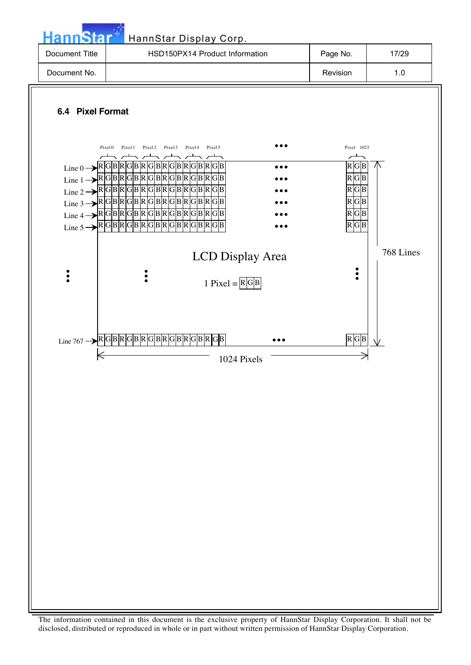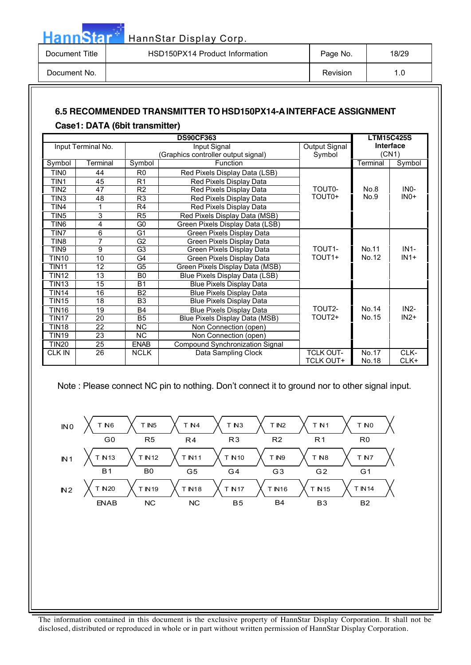| <b>HannStar</b> | HannStar Display Corp.         |          |       |
|-----------------|--------------------------------|----------|-------|
| Document Title  | HSD150PX14 Product Information | Page No. | 18/29 |
| Document No.    |                                | Revision | 1.0   |

# **6.5 RECOMMENDED TRANSMITTER TO HSD150PX14-A INTERFACE ASSIGNMENT**

### **Case1: DATA (6bit transmitter)**

|                  | <b>DS90CF363</b>   |                 |                                     |                    |           |        |  |
|------------------|--------------------|-----------------|-------------------------------------|--------------------|-----------|--------|--|
|                  | Input Terminal No. |                 | Input Signal                        | Output Signal      | Interface |        |  |
|                  |                    |                 | (Graphics controller output signal) | Symbol             |           | (CN1)  |  |
| Symbol           | Terminal           | Symbol          | Function                            |                    | Terminal  | Symbol |  |
| TIN0             | 44                 | R <sub>0</sub>  | Red Pixels Display Data (LSB)       |                    |           |        |  |
| TIN1             | 45                 | R <sub>1</sub>  | Red Pixels Display Data             |                    |           |        |  |
| TIN <sub>2</sub> | 47                 | R <sub>2</sub>  | Red Pixels Display Data             | TOUT <sub>0</sub>  | No.8      | $INO-$ |  |
| TIN3             | 48                 | R <sub>3</sub>  | Red Pixels Display Data             | TOUT <sub>0+</sub> | No.9      | $INO+$ |  |
| TIN4             |                    | R <sub>4</sub>  | Red Pixels Display Data             |                    |           |        |  |
| TIN <sub>5</sub> | 3                  | R <sub>5</sub>  | Red Pixels Display Data (MSB)       |                    |           |        |  |
| TIN <sub>6</sub> | 4                  | G <sub>0</sub>  | Green Pixels Display Data (LSB)     |                    |           |        |  |
| TIN7             | 6                  | G1              | Green Pixels Display Data           |                    |           |        |  |
| TIN <sub>8</sub> | 7                  | G <sub>2</sub>  | Green Pixels Display Data           |                    |           |        |  |
| TIN9             | 9                  | $\overline{G3}$ | Green Pixels Display Data           | TOUT <sub>1</sub>  | No.11     | $IN1-$ |  |
| <b>TIN10</b>     | 10                 | G <sub>4</sub>  | Green Pixels Display Data           | TOUT <sub>1+</sub> | No.12     | $IN1+$ |  |
| <b>TIN11</b>     | 12                 | G5              | Green Pixels Display Data (MSB)     |                    |           |        |  |
| <b>TIN12</b>     | 13                 | B <sub>0</sub>  | Blue Pixels Display Data (LSB)      |                    |           |        |  |
| <b>TIN13</b>     | 15                 | <b>B1</b>       | <b>Blue Pixels Display Data</b>     |                    |           |        |  |
| <b>TIN14</b>     | 16                 | <b>B2</b>       | <b>Blue Pixels Display Data</b>     |                    |           |        |  |
| TIN15            | 18                 | B <sub>3</sub>  | Blue Pixels Display Data            |                    |           |        |  |
| <b>TIN16</b>     | 19                 | <b>B4</b>       | <b>Blue Pixels Display Data</b>     | TOUT2-             | No.14     | $IN2-$ |  |
| TIN17            | 20                 | B <sub>5</sub>  | Blue Pixels Display Data (MSB)      | TOUT <sub>2+</sub> | No.15     | $IN2+$ |  |
| TIN18            | 22                 | <b>NC</b>       | Non Connection (open)               |                    |           |        |  |
| <b>TIN19</b>     | 23                 | <b>NC</b>       | Non Connection (open)               |                    |           |        |  |
| <b>TIN20</b>     | 25                 | <b>ENAB</b>     | Compound Synchronization Signal     |                    |           |        |  |
| <b>CLK IN</b>    | 26                 | <b>NCLK</b>     | Data Sampling Clock                 | <b>TCLK OUT-</b>   | No.17     | CLK-   |  |
|                  |                    |                 |                                     | <b>TCLK OUT+</b>   | No.18     | CLK+   |  |

Note : Please connect NC pin to nothing. Don't connect it to ground nor to other signal input.

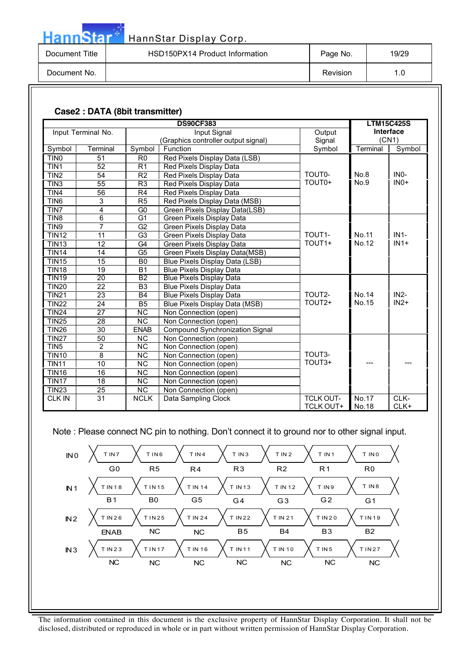| <b>Hann Star</b> | HannStar Display Corp.         |          |       |
|------------------|--------------------------------|----------|-------|
| Document Title   | HSD150PX14 Product Information | Page No. | 19/29 |
| Document No.     |                                | Revision | 1.0   |

#### **Case2 : DATA (8bit transmitter)**

|                  |                    |                        | <b>DS90CF383</b>                    |                    |          | <b>LTM15C425S</b> |
|------------------|--------------------|------------------------|-------------------------------------|--------------------|----------|-------------------|
|                  | Input Terminal No. |                        | Input Signal                        | Output             |          | Interface         |
|                  |                    |                        | (Graphics controller output signal) | Signal             |          | (CN1)             |
| Symbol           | Terminal           | Symbol                 | Function                            | Symbol             | Terminal | Symbol            |
| TIN <sub>0</sub> | 51                 | R <sub>0</sub>         | Red Pixels Display Data (LSB)       |                    |          |                   |
| TIN1             | 52                 | $\overline{R1}$        | Red Pixels Display Data             |                    |          |                   |
| TIN <sub>2</sub> | 54                 | R <sub>2</sub>         | Red Pixels Display Data             | TOUT <sub>0</sub>  | No.8     | IN <sub>0</sub> - |
| TIN <sub>3</sub> | 55                 | R <sub>3</sub>         | Red Pixels Display Data             | TOUT0+             | No.9     | $INO+$            |
| TIN4             | 56                 | R <sub>4</sub>         | Red Pixels Display Data             |                    |          |                   |
| TIN <sub>6</sub> | 3                  | R5                     | Red Pixels Display Data (MSB)       |                    |          |                   |
| TIN7             | 4                  | G <sub>0</sub>         | Green Pixels Display Data(LSB)      |                    |          |                   |
| TIN <sub>8</sub> | 6                  | $\overline{G1}$        | Green Pixels Display Data           |                    |          |                   |
| TIN9             | $\overline{7}$     | G <sub>2</sub>         | Green Pixels Display Data           |                    |          |                   |
| <b>TIN12</b>     | 11                 | G <sub>3</sub>         | Green Pixels Display Data           | TOUT <sub>1</sub>  | No.11    | $IN1-$            |
| <b>TIN13</b>     | 12                 | G <sub>4</sub>         | Green Pixels Display Data           | TOUT <sub>1+</sub> | No.12    | $IN1+$            |
| <b>TIN14</b>     | 14                 | G <sub>5</sub>         | Green Pixels Display Data(MSB)      |                    |          |                   |
| <b>TIN15</b>     | 15                 | B <sub>0</sub>         | Blue Pixels Display Data (LSB)      |                    |          |                   |
| <b>TIN18</b>     | 19                 | <b>B1</b>              | <b>Blue Pixels Display Data</b>     |                    |          |                   |
| <b>TIN19</b>     | 20                 | <b>B2</b>              | <b>Blue Pixels Display Data</b>     |                    |          |                   |
| <b>TIN20</b>     | 22                 | B <sub>3</sub>         | <b>Blue Pixels Display Data</b>     |                    |          |                   |
| <b>TIN21</b>     | 23                 | <b>B4</b>              | <b>Blue Pixels Display Data</b>     | TOUT2-             | No.14    | $IN2-$            |
| TIN22            | 24                 | <b>B5</b>              | Blue Pixels Display Data (MSB)      | TOUT <sub>2+</sub> | No.15    | $IN2+$            |
| <b>TIN24</b>     | $\overline{27}$    | <b>NC</b>              | Non Connection (open)               |                    |          |                   |
| <b>TIN25</b>     | 28                 | <b>NC</b>              | Non Connection (open)               |                    |          |                   |
| <b>TIN26</b>     | 30                 | <b>ENAB</b>            | Compound Synchronization Signal     |                    |          |                   |
| <b>TIN27</b>     | 50                 | $\overline{NC}$        | Non Connection (open)               |                    |          |                   |
| TIN <sub>5</sub> | $\overline{2}$     | <b>NC</b>              | Non Connection (open)               |                    |          |                   |
| <b>TIN10</b>     | $\overline{8}$     | $\overline{\text{NC}}$ | Non Connection (open)               | TOUT3-             |          |                   |
| <b>TIN11</b>     | 10                 | <b>NC</b>              | Non Connection (open)               | TOUT3+             |          |                   |
| <b>TIN16</b>     | 16                 | <b>NC</b>              | Non Connection (open)               |                    |          |                   |
| <b>TIN17</b>     | 18                 | <b>NC</b>              | Non Connection (open)               |                    |          |                   |
| <b>TIN23</b>     | 25                 | $\overline{\text{NC}}$ | Non Connection (open)               |                    |          |                   |
| <b>CLK IN</b>    | $\overline{31}$    | <b>NCLK</b>            | Data Sampling Clock                 | <b>TCLK OUT-</b>   | No.17    | CLK-              |
|                  |                    |                        |                                     | <b>TCLK OUT+</b>   | No.18    | CLK+              |

Note : Please connect NC pin to nothing. Don't connect it to ground nor to other signal input.

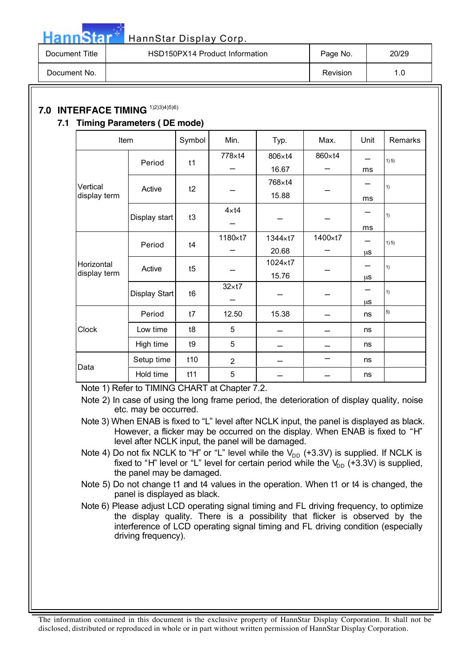| Document Title | HSD150PX14 Product Information | Page No. | 20/29 |
|----------------|--------------------------------|----------|-------|
| Document No.   |                                | Revision | 1.0   |

### **7.0 INTERFACE TIMING** 1)2)3)4)5)6)

**Hann**Star<sup>®</sup>

### **7.1 Timing Parameters ( DE mode)**

| Item                     |               | Symbol         | Min.           | Typ.    | Max.    | Unit | Remarks |
|--------------------------|---------------|----------------|----------------|---------|---------|------|---------|
|                          | Period        | t1             | 778×t4         | 806×t4  | 860×t4  |      | 1) 5)   |
|                          |               |                |                | 16.67   |         | ms   |         |
| Vertical<br>display term | Active        | t2             |                | 768×t4  |         |      | 1)      |
|                          |               |                |                | 15.88   |         | ms   |         |
|                          | Display start | t3             | $4 \times 14$  |         |         |      | 1)      |
|                          |               |                |                |         |         | ms   |         |
|                          | Period        | t4             | 1180×t7        | 1344×t7 | 1400×t7 |      | 1) 5)   |
|                          |               |                |                | 20.68   |         | μS   |         |
| Horizontal               | Active        | t5             |                | 1024×t7 |         |      | 1)      |
| display term             |               |                |                | 15.76   |         | μS   |         |
|                          | Display Start | t <sub>6</sub> | $32 \times 17$ |         |         |      | 1)      |
|                          |               |                |                |         |         | μS   |         |
|                          | Period        | t7             | 12.50          | 15.38   |         | ns   | 5)      |
| Clock                    | Low time      | t8             | 5              |         |         | ns   |         |
|                          | High time     | t9             | 5              |         |         | ns   |         |
|                          | Setup time    | t10            | $\overline{2}$ |         |         | ns   |         |
| Data                     | Hold time     | t11            | 5              |         |         | ns   |         |

Note 1) Refer to TIMING CHART at Chapter 7.2.

Note 2) In case of using the long frame period, the deterioration of display quality, noise etc. may be occurred.

Note 3) When ENAB is fixed to "L" level after NCLK input, the panel is displayed as black. However, a flicker may be occurred on the display. When ENAB is fixed to "H" level after NCLK input, the panel will be damaged.

Note 4) Do not fix NCLK to "H" or "L" level while the  $V_{DD}$  (+3.3V) is supplied. If NCLK is fixed to "H" level or "L" level for certain period while the  $V_{DD}$  (+3.3V) is supplied, the panel may be damaged.

Note 5) Do not change t1 and t4 values in the operation. When t1 or t4 is changed, the panel is displayed as black.

Note 6) Please adjust LCD operating signal timing and FL driving frequency, to optimize the display quality. There is a possibility that flicker is observed by the interference of LCD operating signal timing and FL driving condition (especially driving frequency).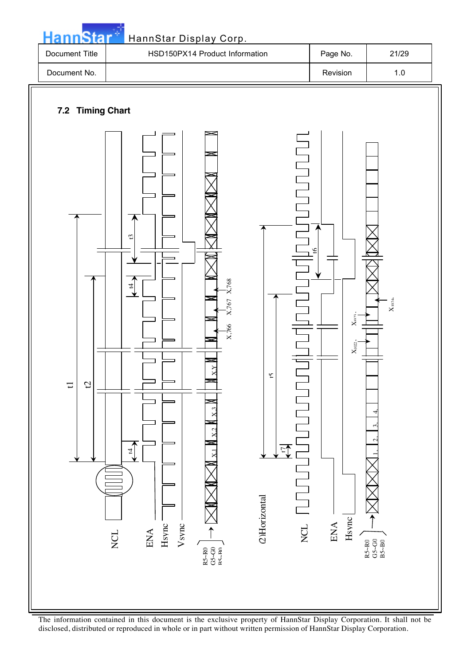

The information contained in this document is the exclusive property of HannStar Display Corporation. It shall not be disclosed, distributed or reproduced in whole or in part without written permission of HannStar Display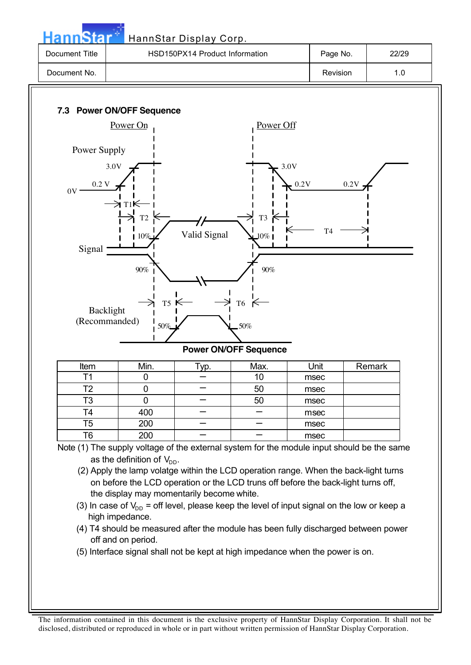|                            |                                                                                                   | HSD150PX14 Product Information |                              | Page No.       | 22/29  |     |
|----------------------------|---------------------------------------------------------------------------------------------------|--------------------------------|------------------------------|----------------|--------|-----|
| Document No.               |                                                                                                   |                                |                              | Revision       |        | 1.0 |
|                            |                                                                                                   |                                |                              |                |        |     |
|                            | 7.3 Power ON/OFF Sequence                                                                         |                                |                              |                |        |     |
|                            | Power On                                                                                          |                                | Power Off                    |                |        |     |
| Power Supply               |                                                                                                   |                                |                              |                |        |     |
|                            |                                                                                                   |                                |                              |                |        |     |
| 3.0V                       |                                                                                                   |                                |                              | 3.0V           |        |     |
| $0.2~\mathrm{V}$<br>0V     |                                                                                                   |                                |                              | $-0.2V$        | 0.2V   |     |
|                            | ∋ T1K                                                                                             |                                |                              |                |        |     |
|                            | T <sub>2</sub>                                                                                    |                                | T <sub>3</sub>               |                |        |     |
|                            | 10%                                                                                               | Valid Signal                   | $10\%$                       | T <sub>4</sub> |        |     |
| Signal                     |                                                                                                   |                                |                              |                |        |     |
|                            |                                                                                                   |                                |                              |                |        |     |
|                            | $90\%$                                                                                            |                                | 90%                          |                |        |     |
|                            |                                                                                                   |                                |                              |                |        |     |
|                            | $T5 \in$                                                                                          |                                | T <sub>6</sub>               |                |        |     |
|                            |                                                                                                   |                                |                              |                |        |     |
| Backlight<br>(Recommanded) |                                                                                                   |                                |                              |                |        |     |
|                            | 50%                                                                                               |                                | 50%                          |                |        |     |
|                            |                                                                                                   |                                | <b>Power ON/OFF Sequence</b> |                |        |     |
| Item                       | Min.                                                                                              | Typ.                           | Max.                         | Unit           | Remark |     |
| T1                         | $\pmb{0}$                                                                                         |                                | 10                           | msec           |        |     |
| T <sub>2</sub>             | $\mathbf 0$                                                                                       |                                | 50                           | msec           |        |     |
| T <sub>3</sub>             | $\overline{0}$                                                                                    |                                | 50                           | msec           |        |     |
| T4                         | 400                                                                                               |                                |                              | msec           |        |     |
| T <sub>5</sub>             | 200                                                                                               |                                |                              | msec           |        |     |
| T6                         | 200<br>Note (1) The supply voltage of the external system for the module input should be the same |                                |                              | msec           |        |     |

the display may momentarily become white.

(3) In case of  $V_{DD}$  = off level, please keep the level of input signal on the low or keep a high impedance.

- (4) T4 should be measured after the module has been fully discharged between power off and on period.
- (5) Interface signal shall not be kept at high impedance when the power is on.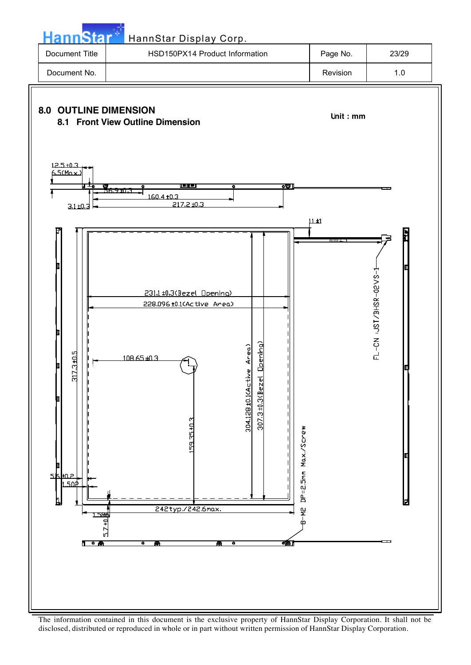Star HannStar Display Corp. Document Title | HSD150PX14 Product Information | Page No. | 23/29 Document No. | 1.0 **8.0 OUTLINE DIMENSION 8.1 Front View Outline Dimension COTENTING COTENT** Unit : mm  $12.5 + 0.3$  $5$ (Max <u>্ত।</u> 7 160.4 ±0.3  $217.2 \text{ } \text{ } 40.3$  $3.1 + 0.$  $11±1$ 231.1 ±0.3(Bezel Opening)



disclosed, distributed or reproduced in whole or in part without written permission of HannStar Display Corporation.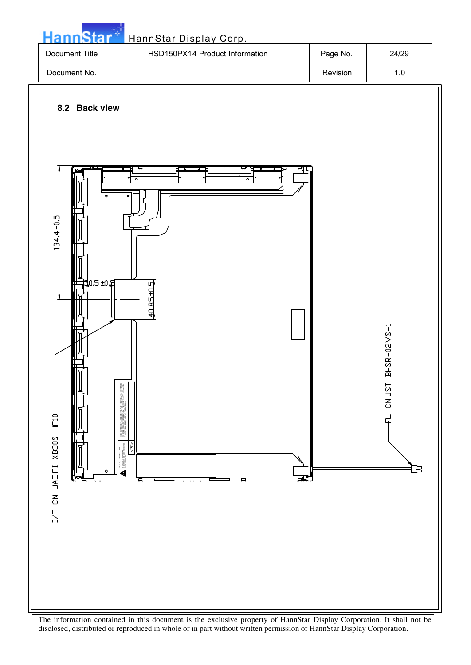

HIGH VOLTAGE CAUTION RISK OF ELECTRIC SHOCK. DISCONNECT THE ELECTRIC POWER BEFORE SERVICING. >PC<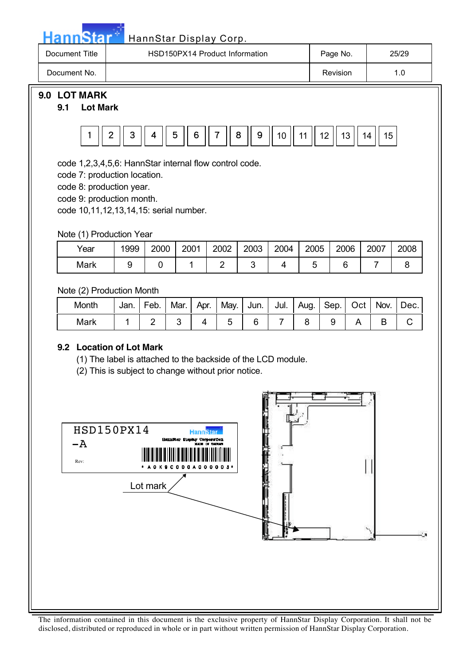## Hann Star<sup>5</sup> HannStar Display Corp.

| Document Title | HSD150PX14 Product Information | Page No. | 25/29 |
|----------------|--------------------------------|----------|-------|
| Document No.   |                                | Revision | 1.0   |
|                |                                |          |       |

## **9.0 LOT MARK**

### **9.1 Lot Mark**



code 1,2,3,4,5,6: HannStar internal flow control code.

code 7: production location.

code 8: production year.

code 9: production month.

code 10,11,12,13,14,15: serial number.

Note (1) Production Year

| Year | 1999 | 2000 | 2001 | 2002 | 2003 | 2004 | 2005 | 2006 | 2007 | 2008 |
|------|------|------|------|------|------|------|------|------|------|------|
| Mark |      |      |      |      |      |      |      |      |      |      |

Note (2) Production Month

| Month | Jan. | Feb. | Mar. | Apr. | May.   Jun.   Jul.   Aug.   Sep.   Oct |  |  | Nov. | Dec. |
|-------|------|------|------|------|----------------------------------------|--|--|------|------|
| Mark  |      |      |      |      |                                        |  |  |      |      |

### **9.2 Location of Lot Mark**

(1) The label is attached to the backside of the LCD module.

(2) This is subject to change without prior notice.

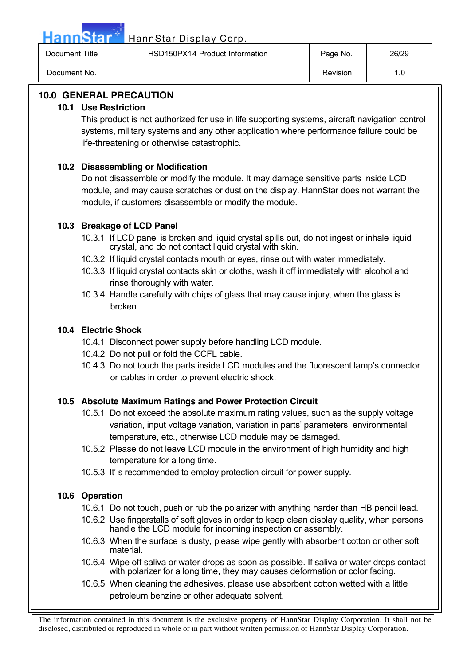HannStar<sup>th</sup> HannStar Display Corp.

| Document Title | HSD150PX14 Product Information | Page No. | 26/29 |
|----------------|--------------------------------|----------|-------|
| Document No.   |                                | Revision |       |

### **10.0 GENERAL PRECAUTION**

### **10.1 Use Restriction**

This product is not authorized for use in life supporting systems, aircraft navigation control systems, military systems and any other application where performance failure could be life-threatening or otherwise catastrophic.

### **10.2 Disassembling or Modification**

Do not disassemble or modify the module. It may damage sensitive parts inside LCD module, and may cause scratches or dust on the display. HannStar does not warrant the module, if customers disassemble or modify the module.

### **10.3 Breakage of LCD Panel**

- 10.3.1 If LCD panel is broken and liquid crystal spills out, do not ingest or inhale liquid crystal, and do not contact liquid crystal with skin.
- 10.3.2 If liquid crystal contacts mouth or eyes, rinse out with water immediately.
- 10.3.3 If liquid crystal contacts skin or cloths, wash it off immediately with alcohol and rinse thoroughly with water.
- 10.3.4 Handle carefully with chips of glass that may cause injury, when the glass is broken.

### **10.4 Electric Shock**

- 10.4.1 Disconnect power supply before handling LCD module.
- 10.4.2 Do not pull or fold the CCFL cable.
- 10.4.3 Do not touch the parts inside LCD modules and the fluorescent lamp's connector or cables in order to prevent electric shock.

### **10.5 Absolute Maximum Ratings and Power Protection Circuit**

- 10.5.1 Do not exceed the absolute maximum rating values, such as the supply voltage variation, input voltage variation, variation in parts' parameters, environmental temperature, etc., otherwise LCD module may be damaged.
- 10.5.2 Please do not leave LCD module in the environment of high humidity and high temperature for a long time.
- 10.5.3 It' s recommended to employ protection circuit for power supply.

### **10.6 Operation**

- 10.6.1 Do not touch, push or rub the polarizer with anything harder than HB pencil lead.
- 10.6.2 Use fingerstalls of soft gloves in order to keep clean display quality, when persons handle the LCD module for incoming inspection or assembly.
- 10.6.3 When the surface is dusty, please wipe gently with absorbent cotton or other soft material.
- 10.6.4 Wipe off saliva or water drops as soon as possible. If saliva or water drops contact with polarizer for a long time, they may causes deformation or color fading.
- 10.6.5 When cleaning the adhesives, please use absorbent cotton wetted with a little petroleum benzine or other adequate solvent.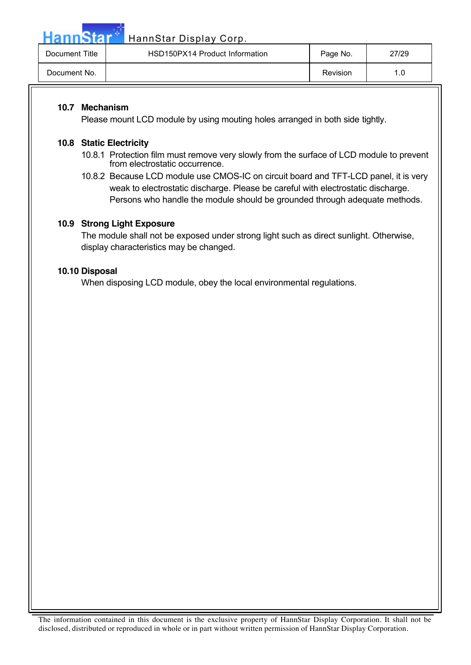Hann Star<sup>th</sup> HannStar Display Corp.

| Document Title | HSD150PX14 Product Information | Page No. | 27/29 |
|----------------|--------------------------------|----------|-------|
| Document No.   |                                | Revision |       |

### **10.7 Mechanism**

Please mount LCD module by using mouting holes arranged in both side tightly.

### **10.8 Static Electricity**

- 10.8.1 Protection film must remove very slowly from the surface of LCD module to prevent from electrostatic occurrence.
- 10.8.2 Because LCD module use CMOS-IC on circuit board and TFT-LCD panel, it is very weak to electrostatic discharge. Please be careful with electrostatic discharge. Persons who handle the module should be grounded through adequate methods.

### **10.9 Strong Light Exposure**

The module shall not be exposed under strong light such as direct sunlight. Otherwise, display characteristics may be changed.

### **10.10 Disposal**

When disposing LCD module, obey the local environmental regulations.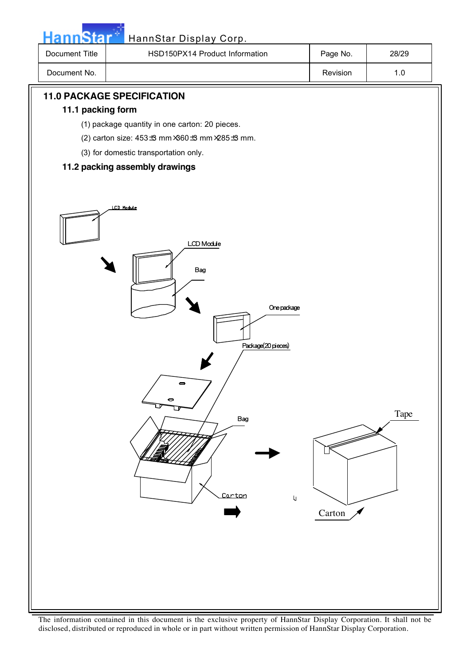| HannStar*         | HannStar Display Corp.                                                                                                                                                                                                                                                                                                         |          |       |  |
|-------------------|--------------------------------------------------------------------------------------------------------------------------------------------------------------------------------------------------------------------------------------------------------------------------------------------------------------------------------|----------|-------|--|
| Document Title    | HSD150PX14 Product Information                                                                                                                                                                                                                                                                                                 | Page No. | 28/29 |  |
| Document No.      |                                                                                                                                                                                                                                                                                                                                | Revision | $1.0$ |  |
| 11.1 packing form | <b>11.0 PACKAGE SPECIFICATION</b><br>(1) package quantity in one carton: 20 pieces.<br>(2) carton size: 453 ± mm ×360 ± mm ×285 ± mm.<br>(3) for domestic transportation only.<br>11.2 packing assembly drawings<br>LCD Module<br>LCD Module<br>Bag<br>One package<br>Package(20 pieces)<br>8<br>Bag<br>Carton<br>$\mathsf{U}$ | Carton   | Tape  |  |